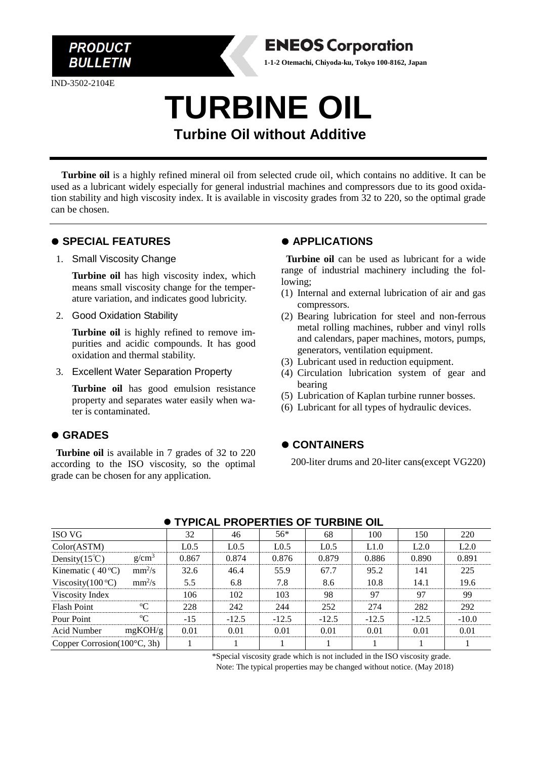

IND-3502-2104E



## **TURBINE OIL Turbine Oil without Additive**

**Turbine oil** is a highly refined mineral oil from selected crude oil, which contains no additive. It can be used as a lubricant widely especially for general industrial machines and compressors due to its good oxidation stability and high viscosity index. It is available in viscosity grades from 32 to 220, so the optimal grade can be chosen.

#### ⚫ **SPECIAL FEATURES**

#### 1. Small Viscosity Change

**Turbine oil** has high viscosity index, which means small viscosity change for the temperature variation, and indicates good lubricity.

2. Good Oxidation Stability

**Turbine oil** is highly refined to remove impurities and acidic compounds. It has good oxidation and thermal stability.

3. Excellent Water Separation Property

**Turbine oil** has good emulsion resistance property and separates water easily when water is contaminated.

### ⚫ **GRADES**

**Turbine oil** is available in 7 grades of 32 to 220 according to the ISO viscosity, so the optimal grade can be chosen for any application.

#### ⚫ **APPLICATIONS**

**Turbine oil** can be used as lubricant for a wide range of industrial machinery including the following;

- (1) Internal and external lubrication of air and gas compressors.
- (2) Bearing lubrication for steel and non-ferrous metal rolling machines, rubber and vinyl rolls and calendars, paper machines, motors, pumps, generators, ventilation equipment.
- (3) Lubricant used in reduction equipment.
- (4) Circulation lubrication system of gear and bearing
- (5) Lubrication of Kaplan turbine runner bosses.
- (6) Lubricant for all types of hydraulic devices.

#### ⚫ **CONTAINERS**

200-liter drums and 20-liter cans(except VG220)

| TIFICAL FROFERTIES OF TURBINE OIL     |             |                  |                  |                  |                  |         |         |         |  |
|---------------------------------------|-------------|------------------|------------------|------------------|------------------|---------|---------|---------|--|
| <b>ISO VG</b>                         |             | 32               | 46               | $56*$            | 68               | 100     | 150     | 220     |  |
| Color(ASTM)                           |             | L <sub>0.5</sub> | L <sub>0.5</sub> | L <sub>0.5</sub> | L <sub>0.5</sub> | L1.0    | L2.0    | L2.0    |  |
| Density $(15^{\circ}\text{C})$        | $g/cm^3$    | 0.867            | 0.874            | 0.876            | 0.879            | 0.886   | 0.890   | 0.891   |  |
| Kinematic ( $40^{\circ}$ C)           | $mm^2/s$    | 32.6             | 46.4             | 55.9             | 67.7             | 95.2    | 141     | 225     |  |
| Viscosity $(100^{\circ}C)$            | $mm^2/s$    | 5.5              | 6.8              | 7.8              | 8.6              | 10.8    | 14.1    | 19.6    |  |
| Viscosity Index                       |             | 106              | 102              | 103              | 98               | 97      | 97      | 99      |  |
| <b>Flash Point</b>                    | $\rm ^{o}C$ | 228              | 242              | 244              | 252              | 274     | 282     | 292     |  |
| Pour Point                            | $\rm ^{o}C$ | $-15$            | $-12.5$          | $-12.5$          | $-12.5$          | $-12.5$ | $-12.5$ | $-10.0$ |  |
| Acid Number                           | mgKOH/g     | 0.01             | 0.01             | 0.01             | 0.01             | 0.01    | 0.01    | 0.01    |  |
| Copper Corrosion $(100^{\circ}C, 3h)$ |             |                  |                  |                  |                  |         |         |         |  |

#### ⚫ **TYPICAL PROPERTIES OF TURBINE OIL**

\*Special viscosity grade which is not included in the ISO viscosity grade. Note: The typical properties may be changed without notice. (May 2018)